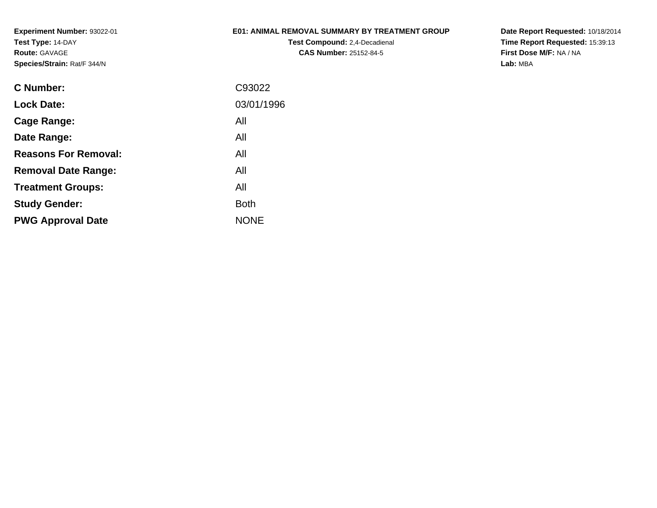## **E01: ANIMAL REMOVAL SUMMARY BY TREATMENT GROUP**

**Test Compound:** 2,4-Decadienal **CAS Number:** 25152-84-5

| C93022      |
|-------------|
| 03/01/1996  |
| All         |
| All         |
| All         |
| All         |
| All         |
| Both        |
| <b>NONE</b> |
|             |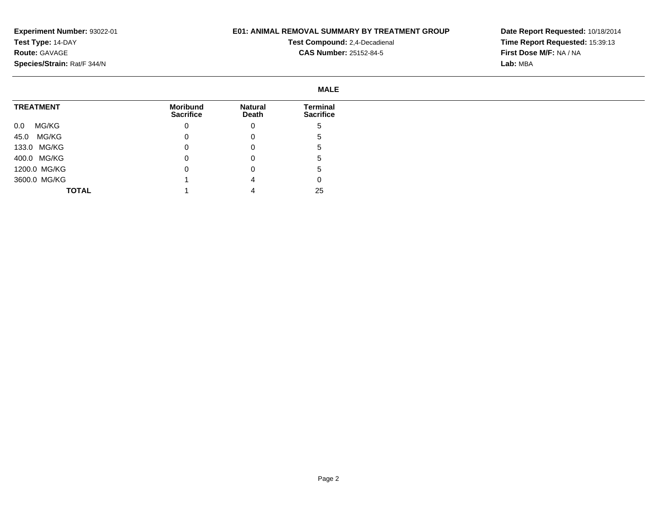## **E01: ANIMAL REMOVAL SUMMARY BY TREATMENT GROUP**

**Test Compound:** 2,4-Decadienal **CAS Number:** 25152-84-5

|                  |                                     |                         | <b>MALE</b>                  |
|------------------|-------------------------------------|-------------------------|------------------------------|
| <b>TREATMENT</b> | <b>Moribund</b><br><b>Sacrifice</b> | <b>Natural</b><br>Death | Terminal<br><b>Sacrifice</b> |
| MG/KG<br>0.0     | 0                                   | 0                       | 5                            |
| 45.0 MG/KG       | 0                                   | 0                       | 5                            |
| 133.0 MG/KG      |                                     | 0                       | ა                            |
| 400.0 MG/KG      |                                     | 0                       | $\mathbf b$                  |
| 1200.0 MG/KG     |                                     | 0                       | -5                           |
| 3600.0 MG/KG     |                                     | 4                       | $\mathbf 0$                  |
| <b>TOTAL</b>     |                                     |                         | 25                           |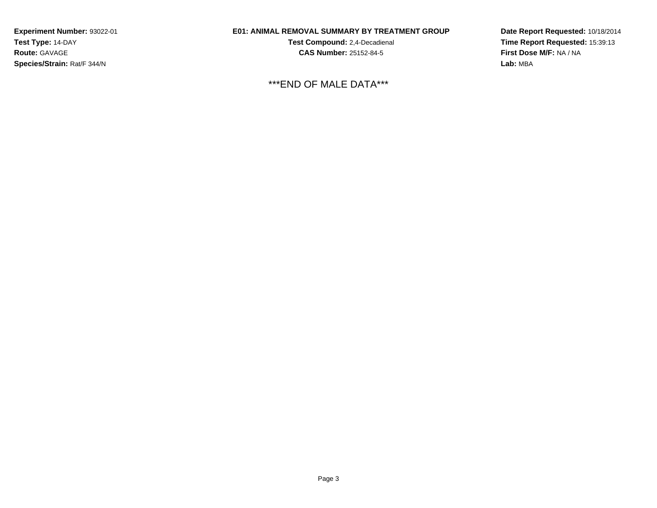## **E01: ANIMAL REMOVAL SUMMARY BY TREATMENT GROUP**

**Test Compound:** 2,4-Decadienal **CAS Number:** 25152-84-5

\*\*\*END OF MALE DATA\*\*\*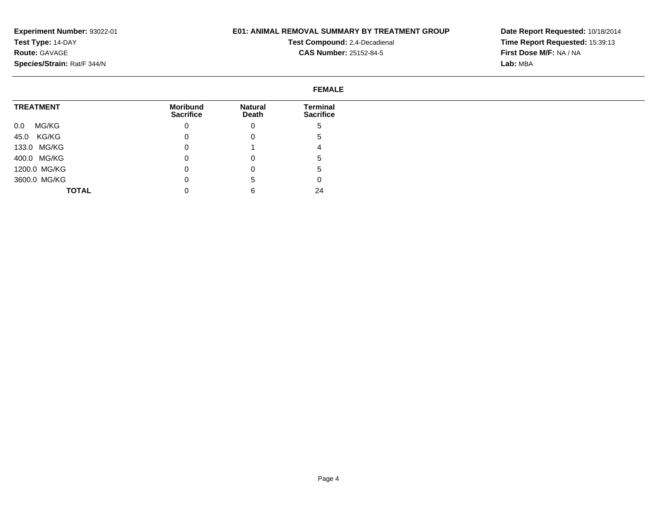## **E01: ANIMAL REMOVAL SUMMARY BY TREATMENT GROUP**

**Test Compound:** 2,4-Decadienal **CAS Number:** 25152-84-5

|                  | <b>FEMALE</b>                |                         |                              |
|------------------|------------------------------|-------------------------|------------------------------|
| <b>TREATMENT</b> | Moribund<br><b>Sacrifice</b> | <b>Natural</b><br>Death | Terminal<br><b>Sacrifice</b> |
| MG/KG<br>0.0     | 0                            | 0                       |                              |
| 45.0 KG/KG       | O                            | 0                       |                              |
| 133.0 MG/KG      | 0                            |                         |                              |
| 400.0 MG/KG      | 0                            | 0                       |                              |
| 1200.0 MG/KG     |                              | 0                       |                              |
| 3600.0 MG/KG     | O                            | b.                      |                              |
| <b>TOTAL</b>     |                              | 6                       | 24                           |